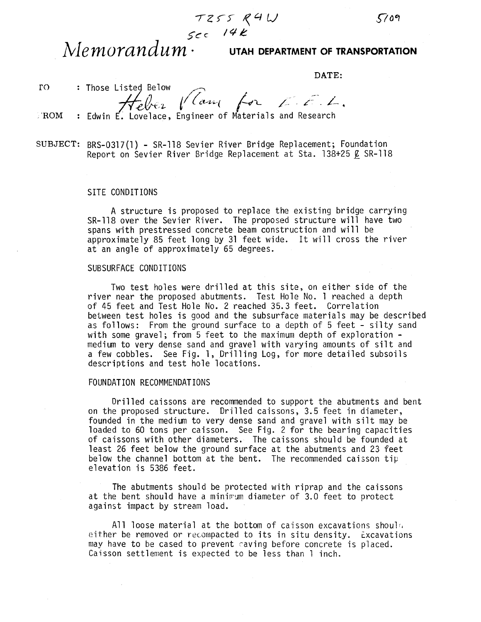5709

*<i>Nemorandum* **· UTAH DEPARTMENT OF TRANSPORTATION** 

DATE:

ro : Those Listed Below  $-$ eber The  $\bigcup_{i=1}^{\infty} \bigcup_{i=1}^{\infty} \bigcup_{i=1}^{\infty} \bigcup_{i=1}^{\infty} \bigcup_{i=1}^{\infty} \bigcup_{i=1}^{\infty} \bigcup_{i=1}^{\infty} \bigcup_{i=1}^{\infty} \bigcup_{i=1}^{\infty} \bigcup_{i=1}^{\infty} \bigcup_{i=1}^{\infty} \bigcup_{i=1}^{\infty} \bigcup_{i=1}^{\infty} \bigcup_{i=1}^{\infty} \bigcup_{i=1}^{\infty} \bigcup_{i=1}^{\infty} \bigcup_{i=1}$ 

SUBJECT: BRS-0317(l) - SR-1l8 Sevier River Bridge Replacement; Foundation Report on Sevier River Bridge Replacement at Sta. 138+25  $\beta$  SR-118

## SITE CONDITIONS

A structure is proposed to replace the existing bridge carrying SR-118 over the Sevier River. The proposed structure will have two spans with prestressed concrete beam construction and will be approximately 85 feet long by 31 feet wide. It will cross the river at an angle of approximately 65 degrees.

## SUBSURFACE CONDITIONS

Two test holes were drilled at this site, on either side of the river near the proposed abutments. Test Hole No. 1 reached a depth of 45 feet and Test Hole No.2 reached 35.3 feet. Correlation between test holes is good and the subsurface materials may be described as follows: From the ground surface to a depth of 5 feet - silty sand with some gravel; from 5 feet to the maximum depth of exploration medium to very dense sand and gravel with varying amounts of silt and a few cobbles. See Fig. 1, Drilling Log, for more detailed subsoils descriptions and test hole locations.

## FOUNDATION RECOMMENDATIONS

Drilled caissons are recommended to support the abutments and bent on the proposed structure. Drilled caissons, 3.5 feet in diameter, founded in the medium to very dense sand and gravel with silt may be loaded to 60 tons per caisson. See Fig. 2 for the bearing capacities of caissons with other diameters. The caissons should be founded at least 26 feet below the ground surface at the abutments and 23 feet below the channel bottom at the bent. The recommended caisson tip elevation is 5386 feet.

The abutments should be protected with riprap and the caissons at the bent should have a minimum diameter of 3.0 feet to protect against impact by stream load.

All loose material at the bottom of caisson excavations should either be removed or recompacted to its in situ density. Excavations may have to be cased to prevent caving before concrete is placed. Caisson settlement is expected to be less than 1 inch.